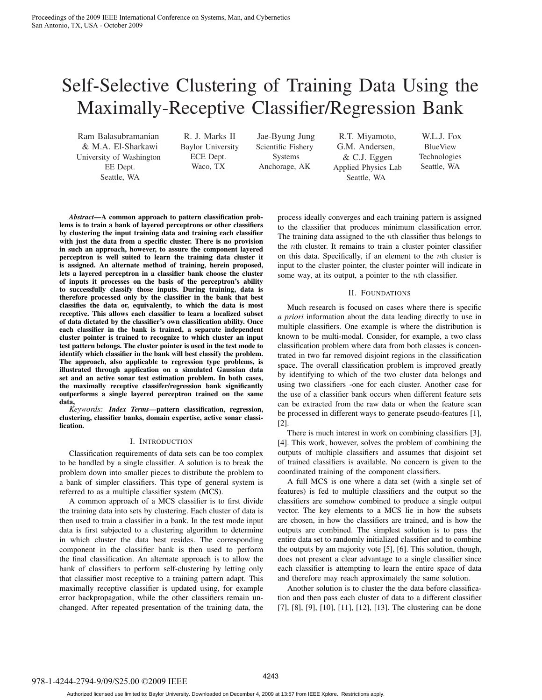# Self-Selective Clustering of Training Data Using the Maximally-Receptive Classifier/Regression Bank

Ram Balasubramanian & M.A. El-Sharkawi University of Washington EE Dept. Seattle, WA

R. J. Marks II Baylor University ECE Dept. Waco, TX

Jae-Byung Jung Scientific Fishery Systems Anchorage, AK

R.T. Miyamoto, G.M. Andersen, & C.J. Eggen Applied Physics Lab Seattle, WA

W.L.J. Fox BlueView Technologies Seattle, WA

*Abstract*—A common approach to pattern classification problems is to train a bank of layered perceptrons or other classifiers by clustering the input training data and training each classifier with just the data from a specific cluster. There is no provision in such an approach, however, to assure the component layered perceptron is well suited to learn the training data cluster it is assigned. An alternate method of training, herein proposed, lets a layered perceptron in a classifier bank choose the cluster of inputs it processes on the basis of the perceptron's ability to successfully classify those inputs. During training, data is therefore processed only by the classifier in the bank that best classifies the data or, equivalently, to which the data is most receptive. This allows each classifier to learn a localized subset of data dictated by the classifier's own classification ability. Once each classifier in the bank is trained, a separate independent cluster pointer is trained to recognize to which cluster an input test pattern belongs. The cluster pointer is used in the test mode to identify which classifier in the bank will best classify the problem. The approach, also applicable to regression type problems, is illustrated through application on a simulated Gaussian data set and an active sonar test estimation problem. In both cases, the maximally receptive classifer/regression bank significantly outperforms a single layered perceptron trained on the same data,

*Keywords: Index Terms*—pattern classification, regression, clustering, classifier banks, domain expertise, active sonar classification.

#### I. INTRODUCTION

Classification requirements of data sets can be too complex to be handled by a single classifier. A solution is to break the problem down into smaller pieces to distribute the problem to a bank of simpler classifiers. This type of general system is referred to as a multiple classifier system (MCS).

A common approach of a MCS classifier is to first divide the training data into sets by clustering. Each cluster of data is then used to train a classifier in a bank. In the test mode input data is first subjected to a clustering algorithm to determine in which cluster the data best resides. The corresponding component in the classifier bank is then used to perform the final classification. An alternate approach is to allow the bank of classifiers to perform self-clustering by letting only that classifier most receptive to a training pattern adapt. This maximally receptive classifier is updated using, for example error backpropagation, while the other classifiers remain unchanged. After repeated presentation of the training data, the process ideally converges and each training pattern is assigned to the classifier that produces minimum classification error. The training data assigned to the *n*th classifier thus belongs to the nth cluster. It remains to train a cluster pointer classifier on this data. Specifically, if an element to the  $n$ th cluster is input to the cluster pointer, the cluster pointer will indicate in some way, at its output, a pointer to the *nth* classifier.

# II. FOUNDATIONS

Much research is focused on cases where there is specific *a priori* information about the data leading directly to use in multiple classifiers. One example is where the distribution is known to be multi-modal. Consider, for example, a two class classification problem where data from both classes is concentrated in two far removed disjoint regions in the classification space. The overall classification problem is improved greatly by identifying to which of the two cluster data belongs and using two classifiers -one for each cluster. Another case for the use of a classifier bank occurs when different feature sets can be extracted from the raw data or when the feature scan be processed in different ways to generate pseudo-features [1], [2].

There is much interest in work on combining classifiers [3], [4]. This work, however, solves the problem of combining the outputs of multiple classifiers and assumes that disjoint set of trained classifiers is available. No concern is given to the coordinated training of the component classifiers.

A full MCS is one where a data set (with a single set of features) is fed to multiple classifiers and the output so the classifiers are somehow combined to produce a single output vector. The key elements to a MCS lie in how the subsets are chosen, in how the classifiers are trained, and is how the outputs are combined. The simplest solution is to pass the entire data set to randomly initialized classifier and to combine the outputs by am majority vote [5], [6]. This solution, though, does not present a clear advantage to a single classifier since each classifier is attempting to learn the entire space of data and therefore may reach approximately the same solution.

Another solution is to cluster the the data before classification and then pass each cluster of data to a different classifier [7], [8], [9], [10], [11], [12], [13]. The clustering can be done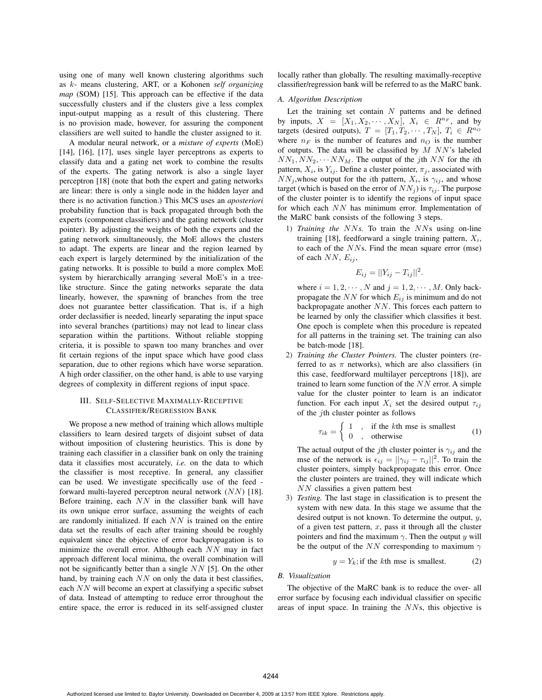using one of many well known clustering algorithms such as k- means clustering, ART, or a Kohonen *self organizing map* (SOM) [15]. This approach can be effective if the data successfully clusters and if the clusters give a less complex input-output mapping as a result of this clustering. There is no provision made, however, for assuring the component classifiers are well suited to handle the cluster assigned to it.

A modular neural network, or a *mixture of experts* (MoE) [14], [16], [17], uses single layer perceptrons as experts to classify data and a gating net work to combine the results of the experts. The gating network is also a single layer perceptron [18] (note that both the expert and gating networks are linear: there is only a single node in the hidden layer and there is no activation function.) This MCS uses an *aposteriori* probability function that is back propagated through both the experts (component classifiers) and the gating network (cluster pointer). By adjusting the weights of both the experts and the gating network simultaneously, the MoE allows the clusters to adapt. The experts are linear and the region learned by each expert is largely determined by the initialization of the gating networks. It is possible to build a more complex MoE system by hierarchically arranging several MoE's in a treelike structure. Since the gating networks separate the data linearly, however, the spawning of branches from the tree does not guarantee better classification. That is, if a high order declassifier is needed, linearly separating the input space into several branches (partitions) may not lead to linear class separation within the partitions. Without reliable stopping criteria, it is possible to spawn too many branches and over fit certain regions of the input space which have good class separation, due to other regions which have worse separation. A high order classifier, on the other hand, is able to use varying degrees of complexity in different regions of input space.

# III. SELF-SELECTIVE MAXIMALLY-RECEPTIVE CLASSIFIER/REGRESSION BANK

We propose a new method of training which allows multiple classifiers to learn desired targets of disjoint subset of data without imposition of clustering heuristics. This is done by training each classifier in a classifier bank on only the training data it classifies most accurately, *i.e.* on the data to which the classifier is most receptive. In general, any classifier can be used. We investigate specifically use of the feed forward multi-layered perceptron neural network  $(NN)$  [18]. Before training, each  $NN$  in the classifier bank will have its own unique error surface, assuming the weights of each are randomly initialized. If each  $NN$  is trained on the entire data set the results of each after training should be roughly equivalent since the objective of error backpropagation is to minimize the overall error. Although each  $NN$  may in fact approach different local minima, the overall combination will not be significantly better than a single  $NN$  [5]. On the other hand, by training each  $NN$  on only the data it best classifies, each NN will become an expert at classifying a specific subset of data. Instead of attempting to reduce error throughout the entire space, the error is reduced in its self-assigned cluster locally rather than globally. The resulting maximally-receptive classifier/regression bank will be referred to as the MaRC bank.

# *A. Algorithm Description*

Let the training set contain  $N$  patterns and be defined by inputs,  $X = [X_1, X_2, \cdots, X_N], X_i \in R^{n_F}$ , and by targets (desired outputs),  $T = [T_1, T_2, \cdots, T_N], T_i \in R^{n_O}$ where  $n_F$  is the number of features and  $n_O$  is the number of outputs. The data will be classified by  $M N N$ 's labeled  $NN_1, NN_2, \cdots NN_M$ . The output of the jth NN for the ith pattern,  $X_i$ , is  $Y_{ij}$ . Define a cluster pointer,  $\pi_j$ , associated with  $NN_i$ , whose output for the *i*th pattern,  $X_i$ , is  $\gamma_{ij}$ , and whose target (which is based on the error of  $NN_i$ ) is  $\tau_{ij}$ . The purpose of the cluster pointer is to identify the regions of input space for which each NN has minimum error. Implementation of the MaRC bank consists of the following 3 steps.

1) *Training the* NN*s.* To train the NNs using on-line training [18], feedforward a single training pattern,  $X_i$ , to each of the NNs. Find the mean square error (mse) of each  $NN$ ,  $E_{ii}$ ,

$$
E_{ij} = ||Y_{ij} - T_{ij}||^2.
$$

where  $i = 1, 2, \dots, N$  and  $j = 1, 2, \dots, M$ . Only backpropagate the  $NN$  for which  $E_{ij}$  is minimum and do not backpropagate another NN. This forces each pattern to be learned by only the classifier which classifies it best. One epoch is complete when this procedure is repeated for all patterns in the training set. The training can also be batch-mode [18].

2) *Training the Cluster Pointers.* The cluster pointers (referred to as  $\pi$  networks), which are also classifiers (in this case, feedforward multilayer perceptrons [18]), are trained to learn some function of the  $NN$  error. A simple value for the cluster pointer to learn is an indicator function. For each input  $X_i$  set the desired output  $\tau_{ii}$ of the  $j$ th cluster pointer as follows

$$
\tau_{ik} = \begin{cases} 1, & \text{if the } k\text{th mse is smallest} \\ 0, & \text{otherwise} \end{cases} \tag{1}
$$

The actual output of the *j*th cluster pointer is  $\gamma_{ij}$  and the mse of the network is  $\epsilon_{ij} = ||\gamma_{ij} - \tau_{ij}||^2$ . To train the cluster pointers, simply backpropagate this error. Once the cluster pointers are trained, they will indicate which NN classifies a given pattern best

3) *Testing.* The last stage in classification is to present the system with new data. In this stage we assume that the desired output is not known. To determine the output, y, of a given test pattern,  $x$ , pass it through all the cluster pointers and find the maximum  $\gamma$ . Then the output y will be the output of the NN corresponding to maximum  $\gamma$ 

$$
y = Y_k
$$
; if the *k*th mse is smallest. (2)

# *B. Visualization*

The objective of the MaRC bank is to reduce the over- all error surface by focusing each individual classifier on specific areas of input space. In training the NNs, this objective is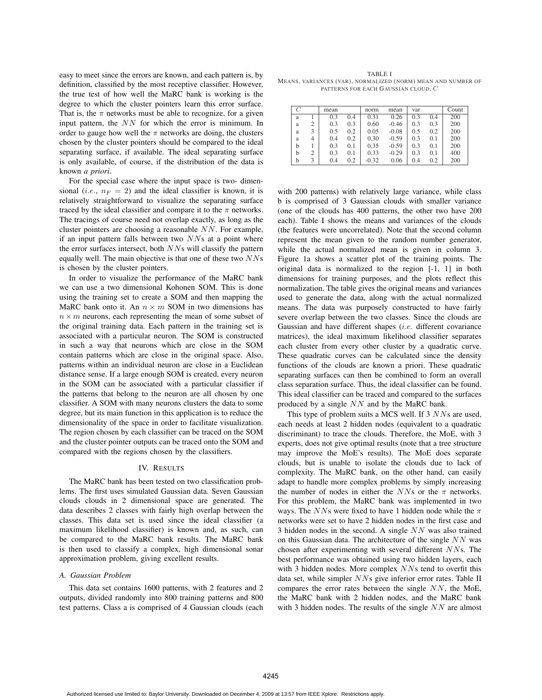easy to meet since the errors are known, and each pattern is, by definition, classified by the most receptive classifier. However, the true test of how well the MaRC bank is working is the degree to which the cluster pointers learn this error surface. That is, the  $\pi$  networks must be able to recognize, for a given input pattern, the NN for which the error is minimum. In order to gauge how well the  $\pi$  networks are doing, the clusters chosen by the cluster pointers should be compared to the ideal separating surface, if available. The ideal separating surface is only available, of course, if the distribution of the data is known *a priori*.

For the special case where the input space is two- dimensional (*i.e.*,  $n_F = 2$ ) and the ideal classifier is known, it is relatively straightforward to visualize the separating surface traced by the ideal classifier and compare it to the  $\pi$  networks. The tracings of course need not overlap exactly, as long as the cluster pointers are choosing a reasonable NN. For example, if an input pattern falls between two  $NNs$  at a point where the error surfaces intersect, both  $NNs$  will classify the pattern equally well. The main objective is that one of these two  $NNs$ is chosen by the cluster pointers.

In order to visualize the performance of the MaRC bank we can use a two dimensional Kohonen SOM. This is done using the training set to create a SOM and then mapping the MaRC bank onto it. An  $n \times m$  SOM in two dimensions has  $n \times m$  neurons, each representing the mean of some subset of the original training data. Each pattern in the training set is associated with a particular neuron. The SOM is constructed in such a way that neurons which are close in the SOM contain patterns which are close in the original space. Also, patterns within an individual neuron are close in a Euclidean distance sense. If a large enough SOM is created, every neuron in the SOM can be associated with a particular classifier if the patterns that belong to the neuron are all chosen by one classifier. A SOM with many neurons clusters the data to some degree, but its main function in this application is to reduce the dimensionality of the space in order to facilitate visualization. The region chosen by each classifier can be traced on the SOM and the cluster pointer outputs can be traced onto the SOM and compared with the regions chosen by the classifiers.

#### IV. RESULTS

The MaRC bank has been tested on two classification problems. The first uses simulated Gaussian data. Seven Gaussian clouds clouds in 2 dimensional space are generated. The data describes 2 classes with fairly high overlap between the classes. This data set is used since the ideal classifier (a maximum likelihood classifier) is known and, as such, can be compared to the MaRC bank results. The MaRC bank is then used to classify a complex, high dimensional sonar approximation problem, giving excellent results.

# *A. Gaussian Problem*

This data set contains 1600 patterns, with 2 features and 2 outputs, divided randomly into 800 training patterns and 800 test patterns. Class a is comprised of 4 Gaussian clouds (each

TABLE I MEANS, VARIANCES (VAR), NORMALIZED (NORM) MEAN AND NUMBER OF PATTERNS FOR EACH GAUSSIAN CLOUD, C

|   |   | mean |     | norm    | mean    | var |     | Count |
|---|---|------|-----|---------|---------|-----|-----|-------|
| a |   | 0.3  | 0.4 | 0.31    | 0.26    | 0.3 | 0.4 | 200   |
| a | 2 | 0.3  | 0.3 | 0.60    | $-0.46$ | 0.3 | 0.3 | 200   |
| a | 3 | 0.5  | 0.2 | 0.05    | $-0.08$ | 0.5 | 0.2 | 200   |
| a | 4 | 0.4  | 0.2 | 0.30    | $-0.59$ | 0.3 | 0.1 | 200   |
| b |   | 0.3  | 0.1 | 0.35    | $-0.59$ | 0.3 | 0.1 | 200   |
| h |   | 0.3  | 0.1 | 0.33    | $-0.29$ | 0.3 | 0.1 | 400   |
| h | 3 | 0.4  | 0.2 | $-0.32$ | 0.06    | 0.4 | 0.2 | 200   |

with 200 patterns) with relatively large variance, while class b is comprised of 3 Gaussian clouds with smaller variance (one of the clouds has 400 patterns, the other two have 200 each). Table I shows the means and variances of the clouds (the features were uncorrelated). Note that the second column represent the mean given to the random number generator, while the actual normalized mean is given in column 3. Figure 1a shows a scatter plot of the training points. The original data is normalized to the region [-1, 1] in both dimensions for training purposes, and the plots reflect this normalization. The table gives the original means and variances used to generate the data, along with the actual normalized means. The data was purposely constructed to have fairly severe overlap between the two classes. Since the clouds are Gaussian and have different shapes (i.e. different covariance matrices), the ideal maximum likelihood classifier separates each cluster from every other cluster by a quadratic curve. These quadratic curves can be calculated since the density functions of the clouds are known a priori. These quadratic separating surfaces can then be combined to form an overall class separation surface. Thus, the ideal classifier can be found. This ideal classifier can be traced and compared to the surfaces produced by a single  $NN$  and by the MaRC bank.

This type of problem suits a MCS well. If 3 NNs are used, each needs at least 2 hidden nodes (equivalent to a quadratic discriminant) to trace the clouds. Therefore, the MoE, with 3 experts, does not give optimal results (note that a tree structure may improve the MoE's results). The MoE does separate clouds, but is unable to isolate the clouds due to lack of complexity. The MaRC bank, on the other hand, can easily adapt to handle more complex problems by simply increasing the number of nodes in either the  $NNs$  or the  $\pi$  networks. For this problem, the MaRC bank was implemented in two ways. The NNs were fixed to have 1 hidden node while the  $\pi$ networks were set to have 2 hidden nodes in the first case and 3 hidden nodes in the second. A single  $NN$  was also trained on this Gaussian data. The architecture of the single  $NN$  was chosen after experimenting with several different NNs. The best performance was obtained using two hidden layers, each with 3 hidden nodes. More complex  $NNs$  tend to overfit this data set, while simpler NNs give inferior error rates. Table II compares the error rates between the single  $NN$ , the MoE, the MaRC bank with 2 hidden nodes, and the MaRC bank with 3 hidden nodes. The results of the single  $NN$  are almost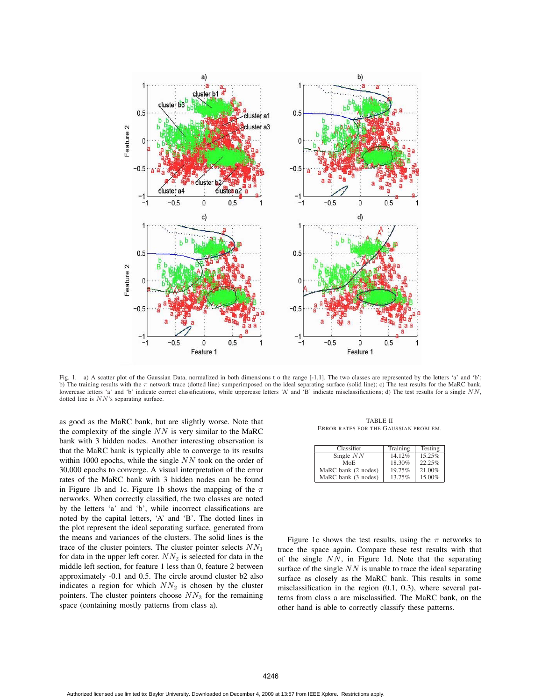

Fig. 1. a) A scatter plot of the Gaussian Data, normalized in both dimensions t o the range [-1,1]. The two classes are represented by the letters 'a' and 'b'; b) The training results with the  $\pi$  network trace (dotted line) sumperimposed on the ideal separating surface (solid line); c) The test results for the MaRC bank, lowercase letters 'a' and 'b' indicate correct classifications, while uppercase letters 'A' and 'B' indicate misclassifications; d) The test results for a single NN, dotted line is NN's separating surface.

as good as the MaRC bank, but are slightly worse. Note that the complexity of the single  $NN$  is very similar to the MaRC bank with 3 hidden nodes. Another interesting observation is that the MaRC bank is typically able to converge to its results within 1000 epochs, while the single  $NN$  took on the order of 30,000 epochs to converge. A visual interpretation of the error rates of the MaRC bank with 3 hidden nodes can be found in Figure 1b and 1c. Figure 1b shows the mapping of the  $\pi$ networks. When correctly classified, the two classes are noted by the letters 'a' and 'b', while incorrect classifications are noted by the capital letters, 'A' and 'B'. The dotted lines in the plot represent the ideal separating surface, generated from the means and variances of the clusters. The solid lines is the trace of the cluster pointers. The cluster pointer selects  $NN_1$ for data in the upper left corer.  $NN_2$  is selected for data in the middle left section, for feature 1 less than 0, feature 2 between approximately -0.1 and 0.5. The circle around cluster b2 also indicates a region for which  $NN_2$  is chosen by the cluster pointers. The cluster pointers choose  $NN_3$  for the remaining space (containing mostly patterns from class a).

TABLE II ERROR RATES FOR THE GAUSSIAN PROBLEM.

| Classifier          | Training | Testing |
|---------------------|----------|---------|
| Single $NN$         | 14.12%   | 15.25%  |
| MoE.                | 18.30%   | 22.25%  |
| MaRC bank (2 nodes) | 19.75%   | 21.00%  |
| MaRC bank (3 nodes) | 13.75%   | 15.00%  |

Figure 1c shows the test results, using the  $\pi$  networks to trace the space again. Compare these test results with that of the single  $NN$ , in Figure 1d. Note that the separating surface of the single  $NN$  is unable to trace the ideal separating surface as closely as the MaRC bank. This results in some misclassification in the region (0.1, 0.3), where several patterns from class a are misclassified. The MaRC bank, on the other hand is able to correctly classify these patterns.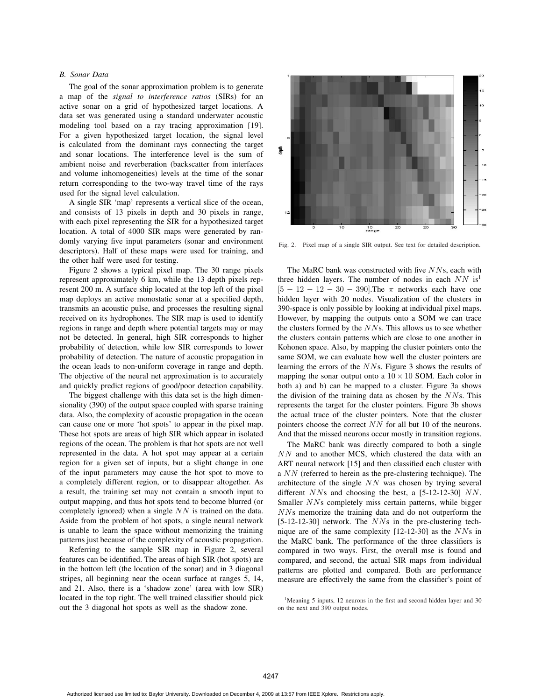# *B. Sonar Data*

The goal of the sonar approximation problem is to generate a map of the *signal to interference ratios* (SIRs) for an active sonar on a grid of hypothesized target locations. A data set was generated using a standard underwater acoustic modeling tool based on a ray tracing approximation [19]. For a given hypothesized target location, the signal level is calculated from the dominant rays connecting the target and sonar locations. The interference level is the sum of ambient noise and reverberation (backscatter from interfaces and volume inhomogeneities) levels at the time of the sonar return corresponding to the two-way travel time of the rays used for the signal level calculation.

A single SIR 'map' represents a vertical slice of the ocean, and consists of 13 pixels in depth and 30 pixels in range, with each pixel representing the SIR for a hypothesized target location. A total of 4000 SIR maps were generated by randomly varying five input parameters (sonar and environment descriptors). Half of these maps were used for training, and the other half were used for testing.

Figure 2 shows a typical pixel map. The 30 range pixels represent approximately 6 km, while the 13 depth pixels represent 200 m. A surface ship located at the top left of the pixel map deploys an active monostatic sonar at a specified depth, transmits an acoustic pulse, and processes the resulting signal received on its hydrophones. The SIR map is used to identify regions in range and depth where potential targets may or may not be detected. In general, high SIR corresponds to higher probability of detection, while low SIR corresponds to lower probability of detection. The nature of acoustic propagation in the ocean leads to non-uniform coverage in range and depth. The objective of the neural net approximation is to accurately and quickly predict regions of good/poor detection capability.

The biggest challenge with this data set is the high dimensionality (390) of the output space coupled with sparse training data. Also, the complexity of acoustic propagation in the ocean can cause one or more 'hot spots' to appear in the pixel map. These hot spots are areas of high SIR which appear in isolated regions of the ocean. The problem is that hot spots are not well represented in the data. A hot spot may appear at a certain region for a given set of inputs, but a slight change in one of the input parameters may cause the hot spot to move to a completely different region, or to disappear altogether. As a result, the training set may not contain a smooth input to output mapping, and thus hot spots tend to become blurred (or completely ignored) when a single  $NN$  is trained on the data. Aside from the problem of hot spots, a single neural network is unable to learn the space without memorizing the training patterns just because of the complexity of acoustic propagation.

Referring to the sample SIR map in Figure 2, several features can be identified. The areas of high SIR (hot spots) are in the bottom left (the location of the sonar) and in 3 diagonal stripes, all beginning near the ocean surface at ranges 5, 14, and 21. Also, there is a 'shadow zone' (area with low SIR) located in the top right. The well trained classifier should pick out the 3 diagonal hot spots as well as the shadow zone.



Fig. 2. Pixel map of a single SIR output. See text for detailed description.

The MaRC bank was constructed with five NNs, each with three hidden layers. The number of nodes in each  $NN$  is<sup>1</sup>  $[5 - 12 - 12 - 30 - 390]$ . The  $\pi$  networks each have one hidden layer with 20 nodes. Visualization of the clusters in 390-space is only possible by looking at individual pixel maps. However, by mapping the outputs onto a SOM we can trace the clusters formed by the  $NNs$ . This allows us to see whether the clusters contain patterns which are close to one another in Kohonen space. Also, by mapping the cluster pointers onto the same SOM, we can evaluate how well the cluster pointers are learning the errors of the  $NNs$ . Figure 3 shows the results of mapping the sonar output onto a  $10 \times 10$  SOM. Each color in both a) and b) can be mapped to a cluster. Figure 3a shows the division of the training data as chosen by the  $NNs$ . This represents the target for the cluster pointers. Figure 3b shows the actual trace of the cluster pointers. Note that the cluster pointers choose the correct  $NN$  for all but 10 of the neurons. And that the missed neurons occur mostly in transition regions.

The MaRC bank was directly compared to both a single  $NN$  and to another MCS, which clustered the data with an ART neural network [15] and then classified each cluster with a  $NN$  (referred to herein as the pre-clustering technique). The architecture of the single  $NN$  was chosen by trying several different  $NNs$  and choosing the best, a [5-12-12-30]  $NN$ . Smaller NNs completely miss certain patterns, while bigger NNs memorize the training data and do not outperform the [5-12-12-30] network. The NNs in the pre-clustering technique are of the same complexity  $[12-12-30]$  as the  $NNs$  in the MaRC bank. The performance of the three classifiers is compared in two ways. First, the overall mse is found and compared, and second, the actual SIR maps from individual patterns are plotted and compared. Both are performance measure are effectively the same from the classifier's point of

<sup>&</sup>lt;sup>1</sup>Meaning 5 inputs, 12 neurons in the first and second hidden layer and 30 on the next and 390 output nodes.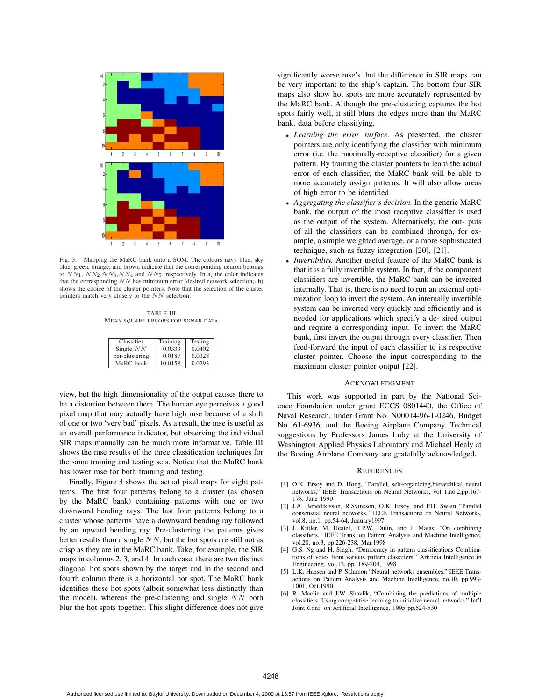

Fig. 3. Mapping the MaRC bank onto a SOM. The colours navy blue, sky blue, green, orange, and brown indicate that the corresponding neuron belongs to  $NN_1$ ,  $NN_2$ ,  $NN_3$ ,  $NN_4$  and  $NN_5$ , respectively. In a) the color indicates that the corresponding  $NN$  has minimum error (desired network selection). b) shows the choice of the cluster pointers. Note that the selection of the cluster pointers match very closely to the NN selection.

TABLE III MEAN SQUARE ERRORS FOR SONAR DATA

| Classifier     | Training | Testing |
|----------------|----------|---------|
| Single $NN$    | 0.0333   | 0.0402  |
| per-clustering | 0.0187   | 0.0328  |
| MaRC bank      | 10.0158  | 0.0293  |

view, but the high dimensionality of the output causes there to be a distortion between them. The human eye perceives a good pixel map that may actually have high mse because of a shift of one or two 'very bad' pixels. As a result, the mse is useful as an overall performance indicator, but observing the individual SIR maps manually can be much more informative. Table III shows the mse results of the three classification techniques for the same training and testing sets. Notice that the MaRC bank has lower mse for both training and testing.

Finally, Figure 4 shows the actual pixel maps for eight patterns. The first four patterns belong to a cluster (as chosen by the MaRC bank) containing patterns with one or two downward bending rays. The last four patterns belong to a cluster whose patterns have a downward bending ray followed by an upward bending ray. Pre-clustering the patterns gives better results than a single NN, but the hot spots are still not as crisp as they are in the MaRC bank. Take, for example, the SIR maps in columns 2, 3, and 4. In each case, there are two distinct diagonal hot spots shown by the target and in the second and fourth column there is a horizontal hot spot. The MaRC bank identifies these hot spots (albeit somewhat less distinctly than the model), whereas the pre-clustering and single NN both blur the hot spots together. This slight difference does not give

significantly worse mse's, but the difference in SIR maps can be very important to the ship's captain. The bottom four SIR maps also show hot spots are more accurately represented by the MaRC bank. Although the pre-clustering captures the hot spots fairly well, it still blurs the edges more than the MaRC bank. data before classifying.

- *Learning the error surface.* As presented, the cluster pointers are only identifying the classifier with minimum error (i.e. the maximally-receptive classifier) for a given pattern. By training the cluster pointers to learn the actual error of each classifier, the MaRC bank will be able to more accurately assign patterns. It will also allow areas of high error to be identified.
- *Aggregating the classifier's decision.* In the generic MaRC bank, the output of the most receptive classifier is used as the output of the system. Alternatively, the out- puts of all the classifiers can be combined through, for example, a simple weighted average, or a more sophisticated technique, such as fuzzy integration [20], [21].
- *Invertibility.* Another useful feature of the MaRC bank is that it is a fully invertible system. In fact, if the component classifiers are invertible, the MaRC bank can be inverted internally. That is, there is no need to run an external optimization loop to invert the system. An internally invertible system can be inverted very quickly and efficiently and is needed for applications which specify a de- sired output and require a corresponding input. To invert the MaRC bank, first invert the output through every classifier. Then feed-forward the input of each classifier to its respective cluster pointer. Choose the input corresponding to the maximum cluster pointer output [22].

#### ACKNOWLEDGMENT

This work was supported in part by the National Science Foundation under grant ECCS 0801440, the Office of Naval Research, under Grant No. N00014-96-1-0246, Budget No. 61-6936, and the Boeing Airplane Company. Technical suggestions by Professors James Luby at the University of Washington Applied Physics Laboratory and Michael Healy at the Boeing Airplane Company are gratefully acknowledged.

#### **REFERENCES**

- [1] O.K. Ersoy and D. Hong, "Parallel, self-organizing,hierarchical neural networks," IEEE Transactions on Neural Networks, vol 1,no.2,pp.167- 178, June 1990
- [2] J.A. Benediktsson, R.Svinsson, O.K. Ersoy, and P.H. Swain "Parallel consensual neural networks," IEEE Transactions on Neural Networks, vol.8, no.1, pp.54-64, January1997
- [3] J. Kittler, M. Heatef, R.P.W. Dulin, and J. Matas, "On combining classifiers," IEEE Trans. on Pattern Analysis and Machine Intelligence, vol.20, no.3, pp.226-238, Mar.1998
- [4] G.S. Ng and H. Singh, "Democracy in pattern classifications Combinations of votes from various pattern classifiers," Artificia Intelligence in Engineering, vol.12, pp. 189-204, 1998
- [5] L.K. Hansen and P. Salamon "Neural networks ensembles," IEEE Transactions on Pattern Analysis and Machine Intelligence, no.10, pp.993- 1001, Oct.1990
- [6] R. Maclin and J.W. Shavlik, "Combining the predictions of multiple classifiers: Using competitive learning to initialize neural networks," Int'l Joint Conf. on Artificial Intelligence, 1995 pp.524-530